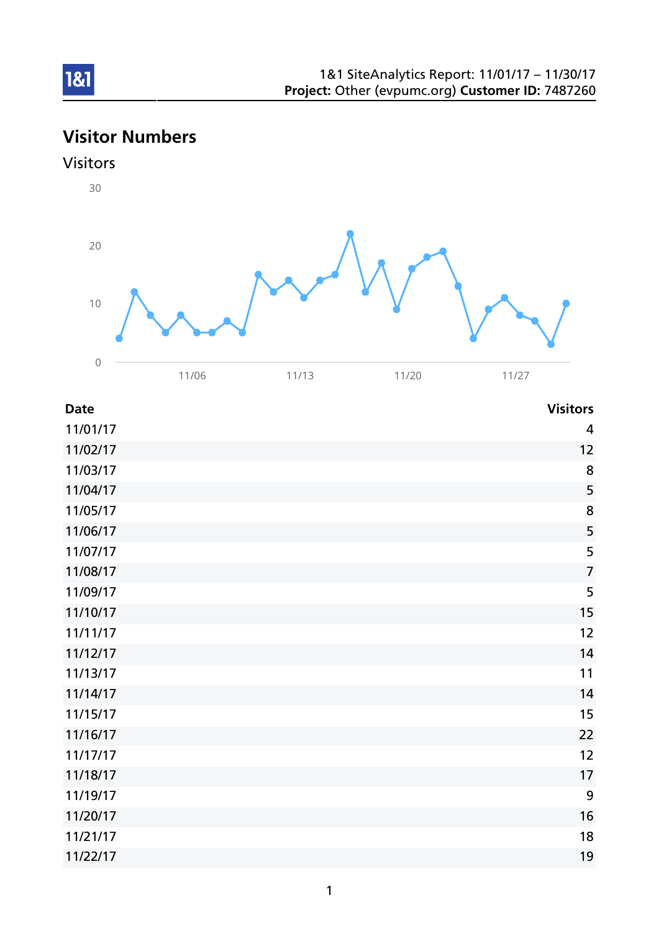# Visitor Numbers





| <b>Date</b> | <b>Visitors</b>         |
|-------------|-------------------------|
| 11/01/17    | $\overline{\mathbf{4}}$ |
| 11/02/17    | 12                      |
| 11/03/17    | 8                       |
| 11/04/17    | 5                       |
| 11/05/17    | 8                       |
| 11/06/17    | 5                       |
| 11/07/17    | 5                       |
| 11/08/17    | $\overline{7}$          |
| 11/09/17    | 5                       |
| 11/10/17    | 15                      |
| 11/11/17    | 12                      |
| 11/12/17    | 14                      |
| 11/13/17    | 11                      |
| 11/14/17    | 14                      |
| 11/15/17    | 15                      |
| 11/16/17    | 22                      |
| 11/17/17    | 12                      |
| 11/18/17    | 17                      |
| 11/19/17    | $\boldsymbol{9}$        |
| 11/20/17    | 16                      |
| 11/21/17    | 18                      |
| 11/22/17    | 19                      |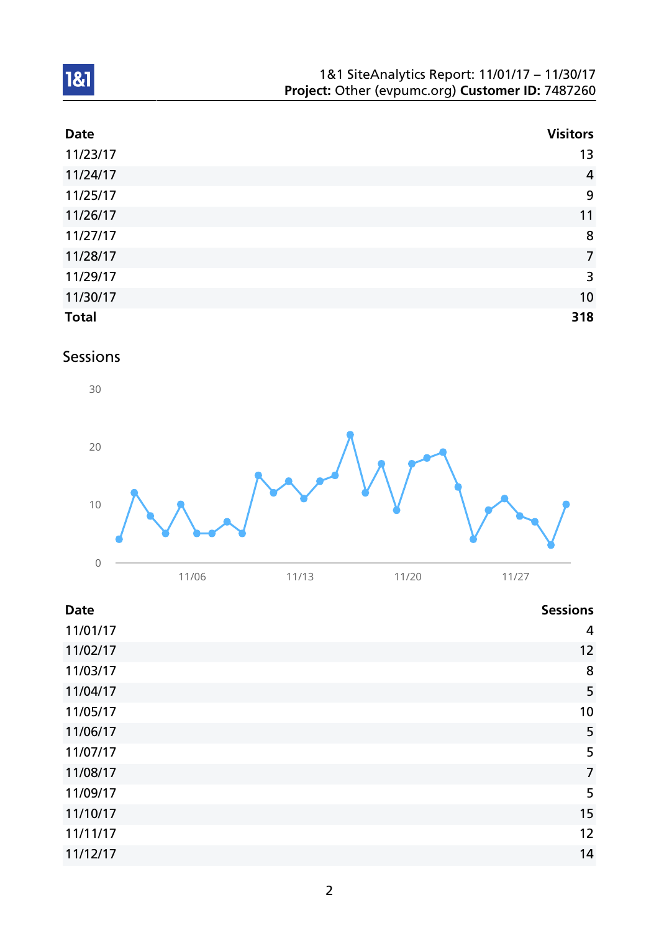| 1&1 SiteAnalytics Report: 11/01/17 - 11/30/17    |
|--------------------------------------------------|
| Project: Other (evpumc.org) Customer ID: 7487260 |

| <b>Date</b>  | <b>Visitors</b> |
|--------------|-----------------|
| 11/23/17     | 13              |
| 11/24/17     | $\overline{4}$  |
| 11/25/17     | 9               |
| 11/26/17     | 11              |
| 11/27/17     | 8               |
| 11/28/17     | $\overline{7}$  |
| 11/29/17     | $\overline{3}$  |
| 11/30/17     | 10              |
| <b>Total</b> | 318             |

### Sessions



| <b>Date</b> | <b>Sessions</b> |
|-------------|-----------------|
| 11/01/17    | 4               |
| 11/02/17    | 12              |
| 11/03/17    | 8               |
| 11/04/17    | 5               |
| 11/05/17    | 10              |
| 11/06/17    | 5               |
| 11/07/17    | 5               |
| 11/08/17    | $\overline{7}$  |
| 11/09/17    | 5               |
| 11/10/17    | 15              |
| 11/11/17    | 12              |
| 11/12/17    | 14              |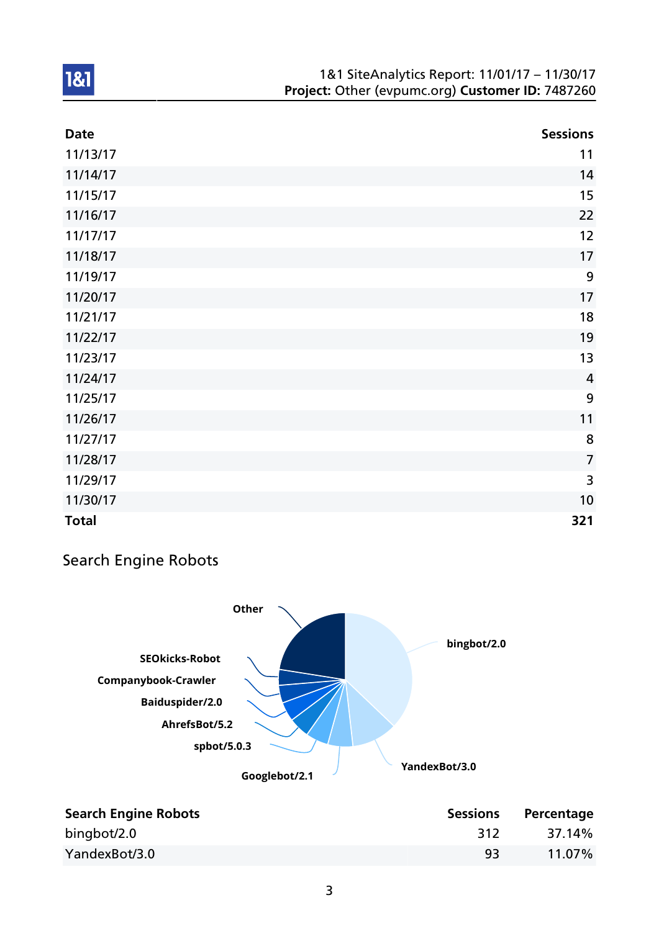| <b>Date</b>  | <b>Sessions</b> |
|--------------|-----------------|
| 11/13/17     | 11              |
| 11/14/17     | 14              |
| 11/15/17     | 15              |
| 11/16/17     | 22              |
| 11/17/17     | 12              |
| 11/18/17     | 17              |
| 11/19/17     | 9               |
| 11/20/17     | 17              |
| 11/21/17     | 18              |
| 11/22/17     | 19              |
| 11/23/17     | 13              |
| 11/24/17     | $\overline{4}$  |
| 11/25/17     | 9               |
| 11/26/17     | 11              |
| 11/27/17     | 8               |
| 11/28/17     | $\overline{7}$  |
| 11/29/17     | 3               |
| 11/30/17     | 10              |
| <b>Total</b> | 321             |

### Search Engine Robots



| <b>Search Engine Robots</b> | <b>Sessions</b> | Percentage |
|-----------------------------|-----------------|------------|
| bingbot/2.0                 | 312             | 37.14%     |
| YandexBot/3.0               | 93              | 11.07%     |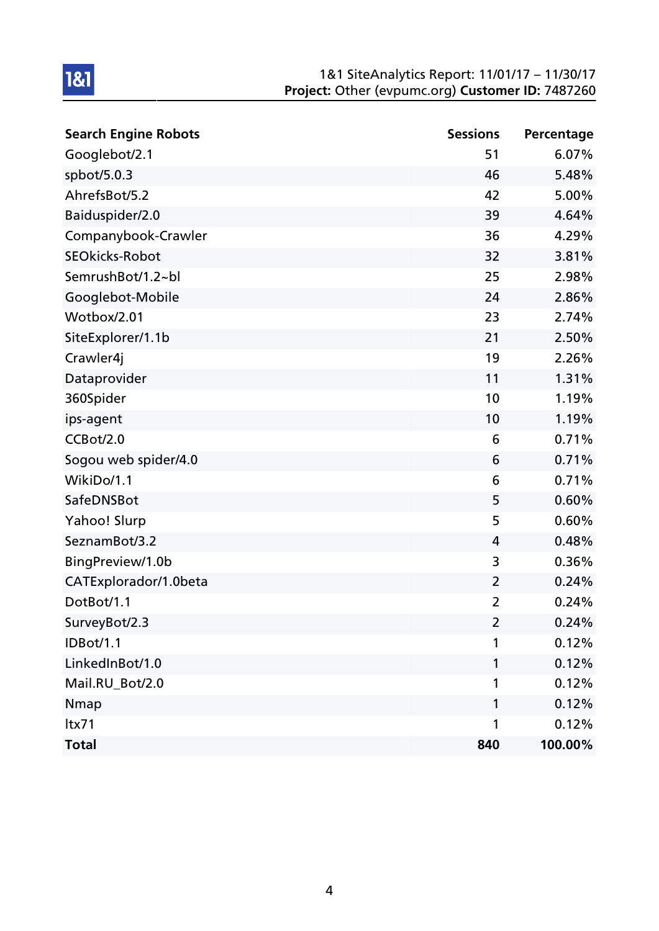| <b>Search Engine Robots</b> | <b>Sessions</b> | Percentage |
|-----------------------------|-----------------|------------|
| Googlebot/2.1               | 51              | 6.07%      |
| spbot/5.0.3                 | 46              | 5.48%      |
| AhrefsBot/5.2               | 42              | 5.00%      |
| Baiduspider/2.0             | 39              | 4.64%      |
| Companybook-Crawler         | 36              | 4.29%      |
| <b>SEOkicks-Robot</b>       | 32              | 3.81%      |
| SemrushBot/1.2~bl           | 25              | 2.98%      |
| Googlebot-Mobile            | 24              | 2.86%      |
| Wotbox/2.01                 | 23              | 2.74%      |
| SiteExplorer/1.1b           | 21              | 2.50%      |
| Crawler4j                   | 19              | 2.26%      |
| Dataprovider                | 11              | 1.31%      |
| 360Spider                   | 10              | 1.19%      |
| ips-agent                   | 10              | 1.19%      |
| CCBot/2.0                   | 6               | 0.71%      |
| Sogou web spider/4.0        | 6               | 0.71%      |
| WikiDo/1.1                  | 6               | 0.71%      |
| SafeDNSBot                  | 5               | 0.60%      |
| Yahoo! Slurp                | 5               | 0.60%      |
| SeznamBot/3.2               | 4               | 0.48%      |
| BingPreview/1.0b            | 3               | 0.36%      |
| CATExplorador/1.0beta       | $\overline{2}$  | 0.24%      |
| DotBot/1.1                  | $\overline{2}$  | 0.24%      |
| SurveyBot/2.3               | $\overline{2}$  | 0.24%      |
| <b>IDBot/1.1</b>            | 1               | 0.12%      |
| LinkedInBot/1.0             | $\mathbf{1}$    | 0.12%      |
| Mail.RU_Bot/2.0             | 1               | 0.12%      |
| <b>Nmap</b>                 | $\mathbf{1}$    | 0.12%      |
| ltx71                       | 1               | 0.12%      |
| <b>Total</b>                | 840             | 100.00%    |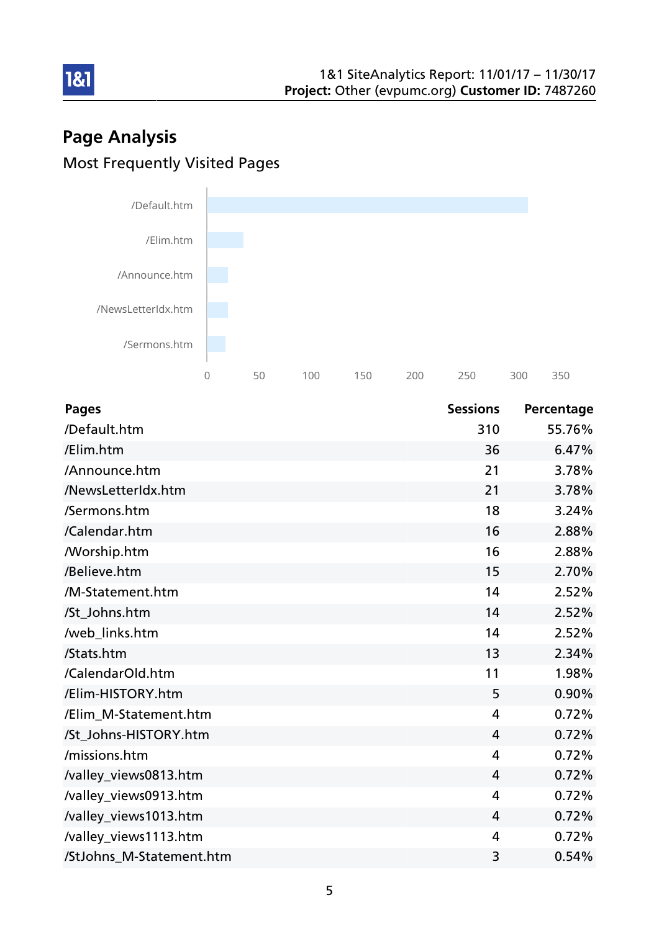# Page Analysis Most Frequently Visited Pages

181



| <b>Pages</b>             | <b>Sessions</b> | Percentage |
|--------------------------|-----------------|------------|
| /Default.htm             | 310             | 55.76%     |
| /Elim.htm                | 36              | 6.47%      |
| /Announce.htm            | 21              | 3.78%      |
| /NewsLetterIdx.htm       | 21              | 3.78%      |
| /Sermons.htm             | 18              | 3.24%      |
| /Calendar.htm            | 16              | 2.88%      |
| <b>Morship.htm</b>       | 16              | 2.88%      |
| /Believe.htm             | 15              | 2.70%      |
| /M-Statement.htm         | 14              | 2.52%      |
| /St_Johns.htm            | 14              | 2.52%      |
| /web_links.htm           | 14              | 2.52%      |
| /Stats.htm               | 13              | 2.34%      |
| /CalendarOld.htm         | 11              | 1.98%      |
| /Elim-HISTORY.htm        | 5               | 0.90%      |
| /Elim M-Statement.htm    | 4               | 0.72%      |
| /St_Johns-HISTORY.htm    | $\overline{4}$  | 0.72%      |
| /missions.htm            | $\overline{4}$  | 0.72%      |
| /valley_views0813.htm    | 4               | 0.72%      |
| /valley_views0913.htm    | $\overline{4}$  | 0.72%      |
| /valley_views1013.htm    | $\overline{4}$  | 0.72%      |
| /valley_views1113.htm    | $\overline{4}$  | 0.72%      |
| /StJohns_M-Statement.htm | 3               | 0.54%      |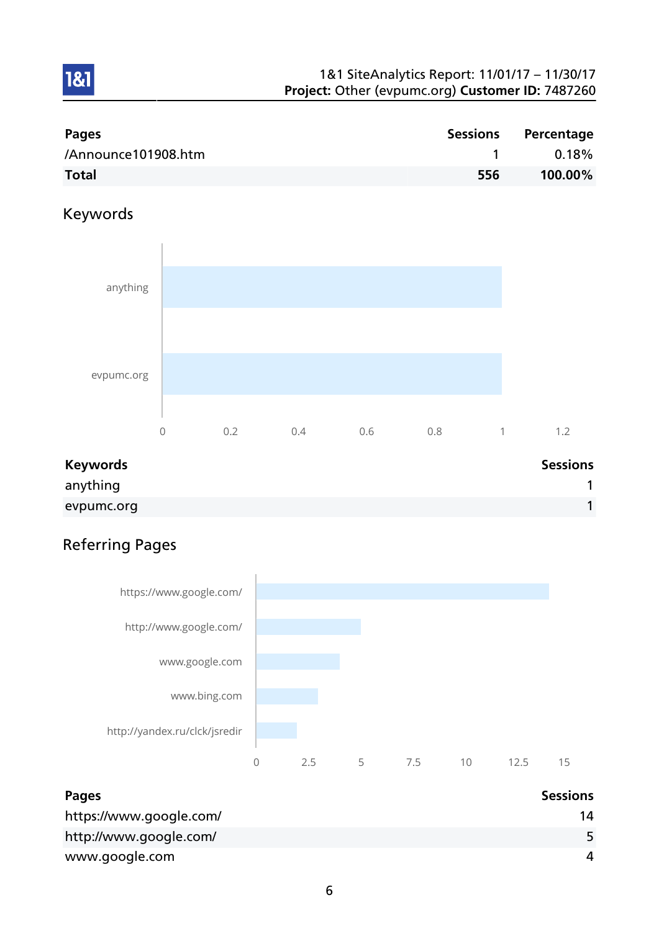| <b>Pages</b>        | Sessions | Percentage |
|---------------------|----------|------------|
| /Announce101908.htm |          | $0.18\%$   |
| <b>Total</b>        | 556      | 100.00%    |

### Keywords

1&1



| <b>Keywords</b> | <b>Sessions</b> |
|-----------------|-----------------|
| anything        |                 |
| evpumc.org      |                 |

# Referring Pages



| Pages                   | <b>Sessions</b> |
|-------------------------|-----------------|
| https://www.google.com/ | 14              |
| http://www.google.com/  |                 |
| www.google.com          | Δ               |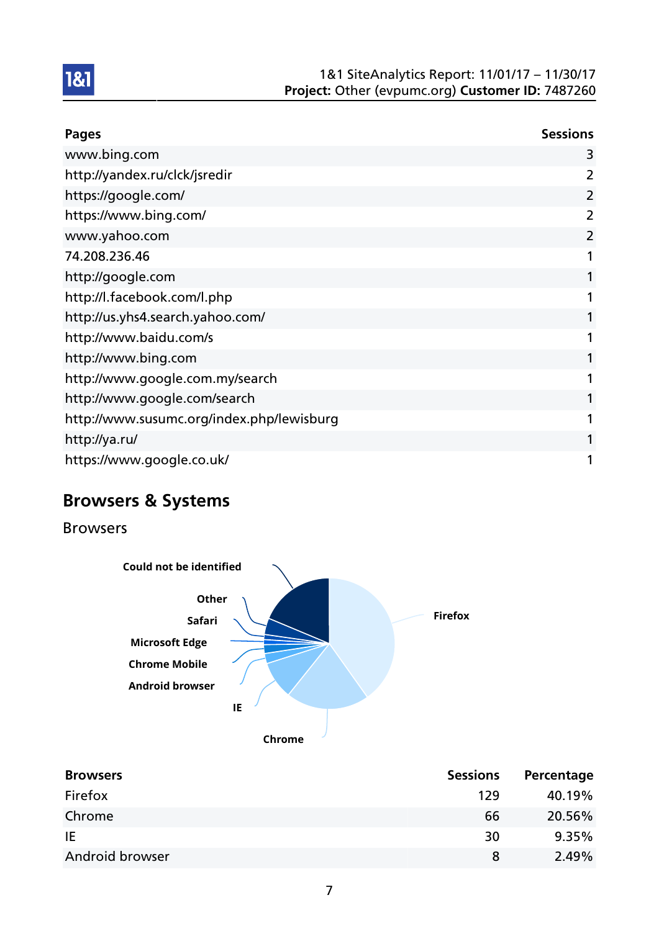

| <b>Pages</b>                              | <b>Sessions</b> |
|-------------------------------------------|-----------------|
| www.bing.com                              | 3               |
| http://yandex.ru/clck/jsredir             | 2               |
| https://google.com/                       | 2               |
| https://www.bing.com/                     | 2               |
| www.yahoo.com                             | $\overline{2}$  |
| 74.208.236.46                             | 1               |
| http://google.com                         |                 |
| http://l.facebook.com/l.php               | 1               |
| http://us.yhs4.search.yahoo.com/          | 1               |
| http://www.baidu.com/s                    | 1               |
| http://www.bing.com                       | 1               |
| http://www.google.com.my/search           | 1               |
| http://www.google.com/search              | 1               |
| http://www.susumc.org/index.php/lewisburg | 1               |
| http://ya.ru/                             | 1               |
| https://www.google.co.uk/                 | 1               |

# Browsers & Systems

Browsers



| <b>Sessions</b> | Percentage |
|-----------------|------------|
| 129             | 40.19%     |
| 66              | 20.56%     |
| 30              | 9.35%      |
| 8               | 2.49%      |
|                 |            |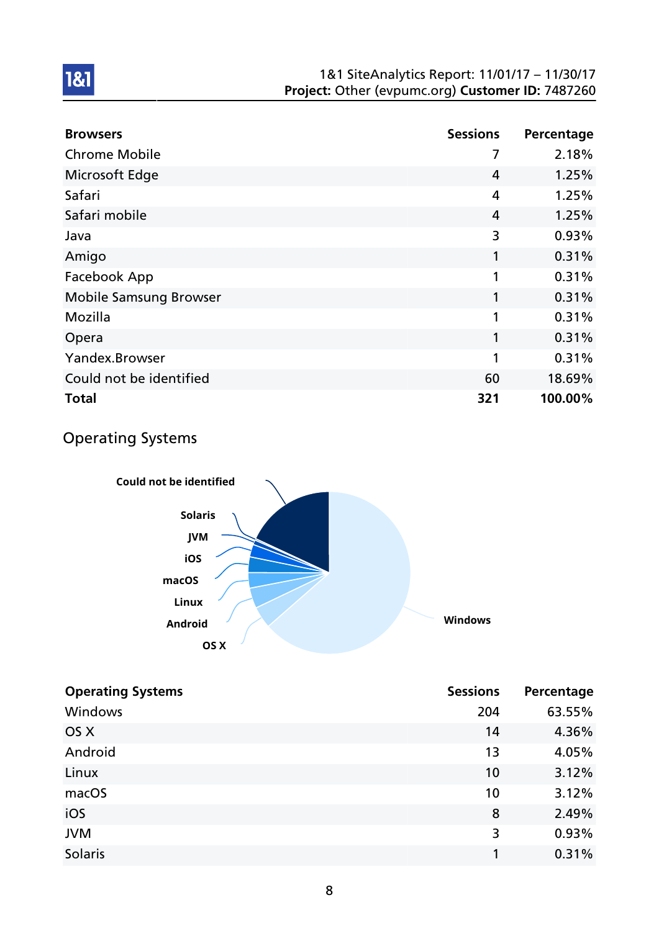| <b>Browsers</b>               | <b>Sessions</b> | Percentage |
|-------------------------------|-----------------|------------|
| <b>Chrome Mobile</b>          | 7               | 2.18%      |
| Microsoft Edge                | 4               | 1.25%      |
| Safari                        | 4               | 1.25%      |
| Safari mobile                 | 4               | 1.25%      |
| Java                          | 3               | 0.93%      |
| Amigo                         | 1               | 0.31%      |
| Facebook App                  | 1               | 0.31%      |
| <b>Mobile Samsung Browser</b> | 1               | 0.31%      |
| Mozilla                       | 1               | 0.31%      |
| Opera                         | 1               | 0.31%      |
| Yandex.Browser                | 1               | 0.31%      |
| Could not be identified       | 60              | 18.69%     |
| <b>Total</b>                  | 321             | 100.00%    |

### Operating Systems



| <b>Operating Systems</b> | <b>Sessions</b> | Percentage |
|--------------------------|-----------------|------------|
| Windows                  | 204             | 63.55%     |
| OS X                     | 14              | 4.36%      |
| Android                  | 13              | 4.05%      |
| Linux                    | 10              | 3.12%      |
| macOS                    | 10              | 3.12%      |
| iOS                      | 8               | 2.49%      |
| <b>JVM</b>               | 3               | 0.93%      |
| Solaris                  |                 | 0.31%      |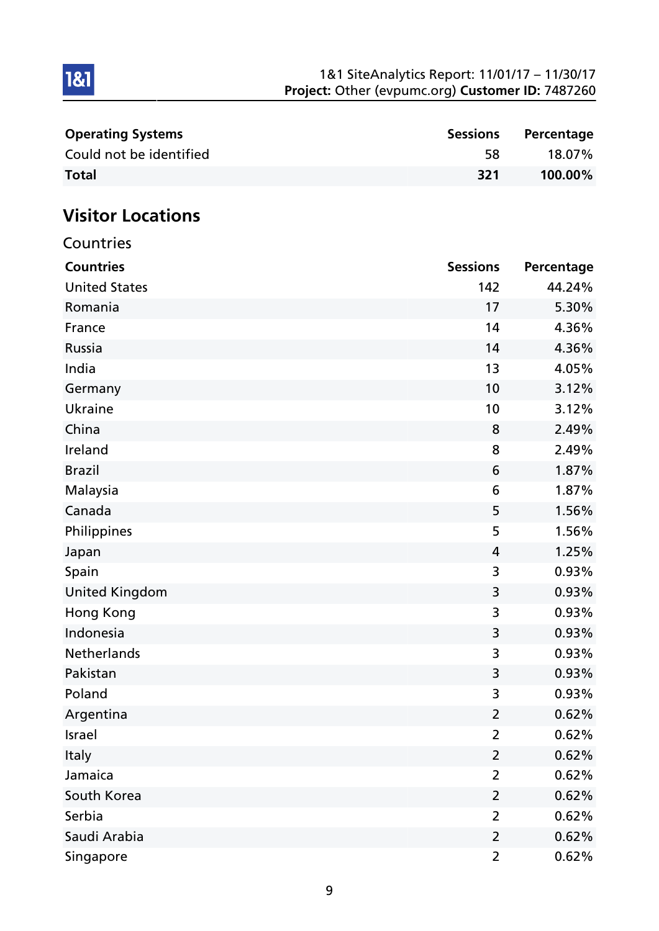| <b>Operating Systems</b> | <b>Sessions</b> | Percentage |
|--------------------------|-----------------|------------|
| Could not be identified  | 58              | 18.07%     |
| <b>Total</b>             | -321            | 100.00%    |

# Visitor Locations

| Countries             |                 |            |
|-----------------------|-----------------|------------|
| <b>Countries</b>      | <b>Sessions</b> | Percentage |
| <b>United States</b>  | 142             | 44.24%     |
| Romania               | 17              | 5.30%      |
| France                | 14              | 4.36%      |
| Russia                | 14              | 4.36%      |
| India                 | 13              | 4.05%      |
| Germany               | 10              | 3.12%      |
| <b>Ukraine</b>        | 10              | 3.12%      |
| China                 | 8               | 2.49%      |
| Ireland               | 8               | 2.49%      |
| <b>Brazil</b>         | 6               | 1.87%      |
| Malaysia              | 6               | 1.87%      |
| Canada                | 5               | 1.56%      |
| Philippines           | 5               | 1.56%      |
| Japan                 | 4               | 1.25%      |
| Spain                 | 3               | 0.93%      |
| <b>United Kingdom</b> | 3               | 0.93%      |
| <b>Hong Kong</b>      | 3               | 0.93%      |
| Indonesia             | 3               | 0.93%      |
| Netherlands           | 3               | 0.93%      |
| Pakistan              | 3               | 0.93%      |
| Poland                | 3               | 0.93%      |
| Argentina             | $\overline{2}$  | 0.62%      |
| Israel                | $\overline{2}$  | 0.62%      |
| Italy                 | $\overline{2}$  | 0.62%      |
| Jamaica               | $\overline{2}$  | 0.62%      |
| South Korea           | $\overline{2}$  | 0.62%      |
| Serbia                | $\overline{2}$  | 0.62%      |
| Saudi Arabia          | $\overline{2}$  | 0.62%      |
| Singapore             | $\overline{2}$  | 0.62%      |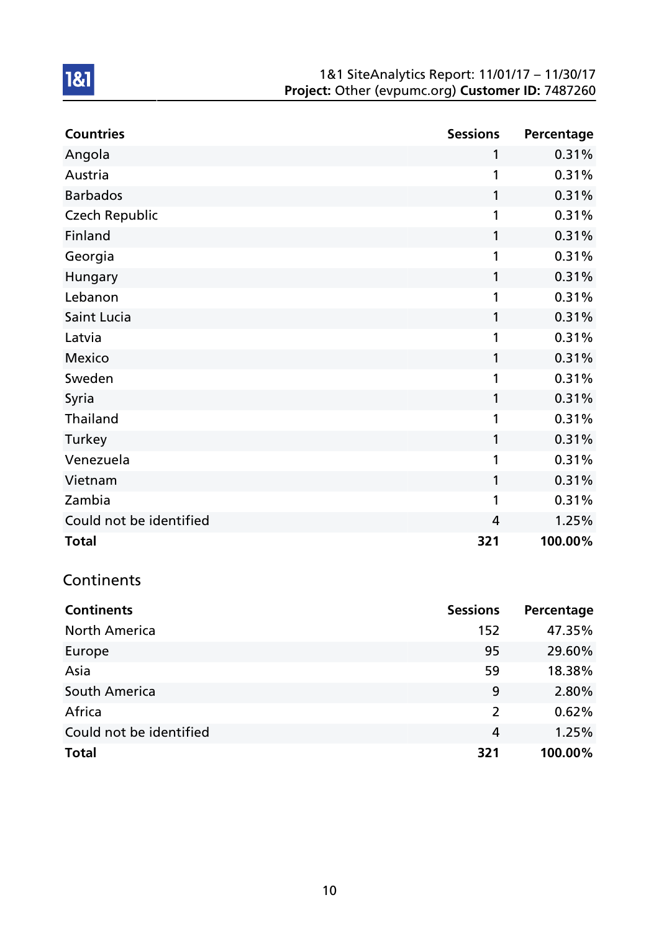| <b>Countries</b>        | <b>Sessions</b> | Percentage |
|-------------------------|-----------------|------------|
| Angola                  | 1               | 0.31%      |
| Austria                 | 1               | 0.31%      |
| <b>Barbados</b>         | 1               | 0.31%      |
| <b>Czech Republic</b>   | 1               | 0.31%      |
| Finland                 | 1               | 0.31%      |
| Georgia                 | 1               | 0.31%      |
| Hungary                 | 1               | 0.31%      |
| Lebanon                 | 1               | 0.31%      |
| Saint Lucia             | 1               | 0.31%      |
| Latvia                  | 1               | 0.31%      |
| Mexico                  | 1               | 0.31%      |
| Sweden                  | 1               | 0.31%      |
| Syria                   | 1               | 0.31%      |
| Thailand                | 1               | 0.31%      |
| Turkey                  | 1               | 0.31%      |
| Venezuela               | 1               | 0.31%      |
| Vietnam                 | 1               | 0.31%      |
| Zambia                  | 1               | 0.31%      |
| Could not be identified | 4               | 1.25%      |
| <b>Total</b>            | 321             | 100.00%    |

### Continents

| <b>Continents</b>       | <b>Sessions</b> | Percentage |
|-------------------------|-----------------|------------|
| <b>North America</b>    | 152             | 47.35%     |
| Europe                  | 95              | 29.60%     |
| Asia                    | 59              | 18.38%     |
| South America           | 9               | 2.80%      |
| Africa                  | 2               | 0.62%      |
| Could not be identified | 4               | 1.25%      |
| <b>Total</b>            | 321             | 100.00%    |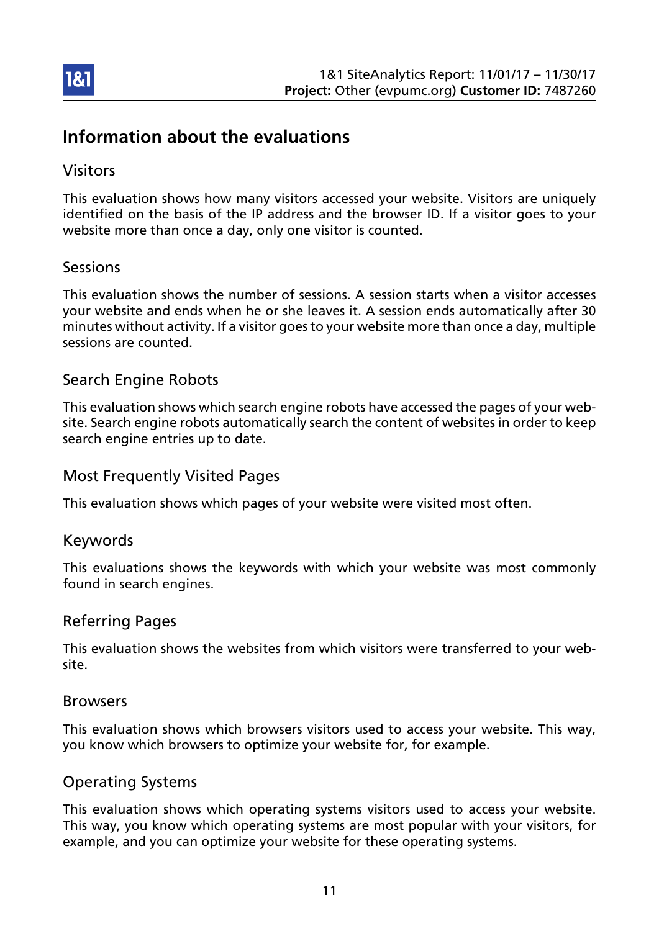

### Information about the evaluations

### Visitors

This evaluation shows how many visitors accessed your website. Visitors are uniquely identified on the basis of the IP address and the browser ID. If a visitor goes to your website more than once a day, only one visitor is counted.

### Sessions

This evaluation shows the number of sessions. A session starts when a visitor accesses your website and ends when he or she leaves it. A session ends automatically after 30 minutes without activity. If a visitor goes to your website more than once a day, multiple sessions are counted.

### Search Engine Robots

This evaluation shows which search engine robots have accessed the pages of your website. Search engine robots automatically search the content of websites in order to keep search engine entries up to date.

### Most Frequently Visited Pages

This evaluation shows which pages of your website were visited most often.

#### Keywords

This evaluations shows the keywords with which your website was most commonly found in search engines.

#### Referring Pages

This evaluation shows the websites from which visitors were transferred to your website.

#### Browsers

This evaluation shows which browsers visitors used to access your website. This way, you know which browsers to optimize your website for, for example.

### Operating Systems

This evaluation shows which operating systems visitors used to access your website. This way, you know which operating systems are most popular with your visitors, for example, and you can optimize your website for these operating systems.